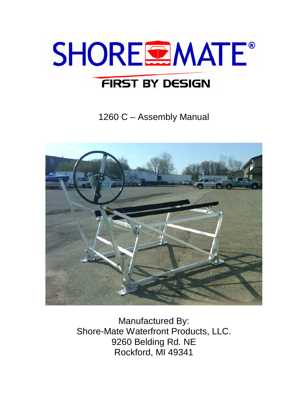

1260 C – Assembly Manual



Manufactured By: Shore-Mate Waterfront Products, LLC. 9260 Belding Rd. NE Rockford, MI 49341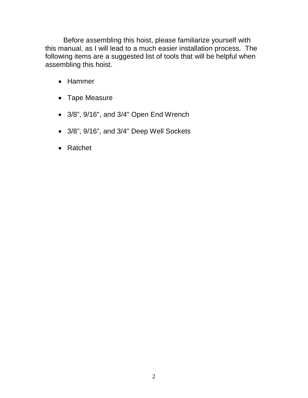Before assembling this hoist, please familiarize yourself with this manual, as I will lead to a much easier installation process. The following items are a suggested list of tools that will be helpful when assembling this hoist.

- Hammer
- Tape Measure
- 3/8", 9/16", and 3/4" Open End Wrench
- 3/8", 9/16", and 3/4" Deep Well Sockets
- Ratchet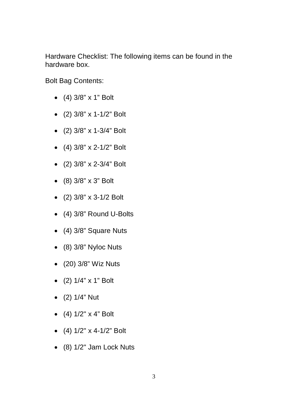Hardware Checklist: The following items can be found in the hardware box.

Bolt Bag Contents:

- (4) 3/8" x 1" Bolt
- (2) 3/8" x 1-1/2" Bolt
- (2) 3/8" x 1-3/4" Bolt
- (4) 3/8" x 2-1/2" Bolt
- (2) 3/8" x 2-3/4" Bolt
- (8) 3/8" x 3" Bolt
- (2) 3/8" x 3-1/2 Bolt
- (4) 3/8" Round U-Bolts
- (4) 3/8" Square Nuts
- (8) 3/8" Nyloc Nuts
- (20) 3/8" Wiz Nuts
- (2) 1/4" x 1" Bolt
- (2) 1/4" Nut
- $(4)$  1/2" x 4" Bolt
- $(4)$  1/2" x 4-1/2" Bolt
- (8) 1/2" Jam Lock Nuts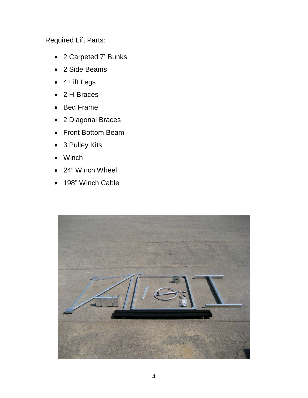Required Lift Parts:

- 2 Carpeted 7' Bunks
- 2 Side Beams
- 4 Lift Legs
- 2 H-Braces
- Bed Frame
- 2 Diagonal Braces
- Front Bottom Beam
- 3 Pulley Kits
- Winch
- 24" Winch Wheel
- 198" Winch Cable

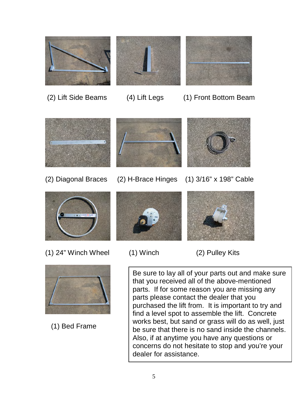



(2) Lift Side Beams (4) Lift Legs (1) Front Bottom Beam



- 
- 





(1) 24" Winch Wheel (1) Winch (2) Pulley Kits



(1) Bed Frame





- 
- 

Be sure to lay all of your parts out and make sure that you received all of the above-mentioned parts. If for some reason you are missing any parts please contact the dealer that you purchased the lift from. It is important to try and find a level spot to assemble the lift. Concrete works best, but sand or grass will do as well, just be sure that there is no sand inside the channels. Also, if at anytime you have any questions or concerns do not hesitate to stop and you're your dealer for assistance.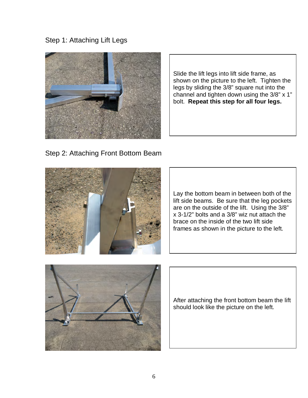Step 1: Attaching Lift Legs



Slide the lift legs into lift side frame, as shown on the picture to the left. Tighten the legs by sliding the 3/8" square nut into the channel and tighten down using the 3/8" x 1" bolt. **Repeat this step for all four legs.**

Step 2: Attaching Front Bottom Beam



Lay the bottom beam in between both of the lift side beams. Be sure that the leg pockets are on the outside of the lift. Using the 3/8" x 3-1/2" bolts and a 3/8" wiz nut attach the brace on the inside of the two lift side frames as shown in the picture to the left.



After attaching the front bottom beam the lift should look like the picture on the left.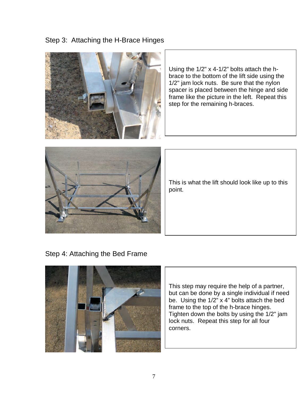## Step 3: Attaching the H-Brace Hinges



Using the 1/2" x 4-1/2" bolts attach the hbrace to the bottom of the lift side using the 1/2" jam lock nuts. Be sure that the nylon spacer is placed between the hinge and side frame like the picture in the left. Repeat this step for the remaining h-braces.



This is what the lift should look like up to this point.

Step 4: Attaching the Bed Frame



This step may require the help of a partner, but can be done by a single individual if need be. Using the 1/2" x 4" bolts attach the bed frame to the top of the h-brace hinges. Tighten down the bolts by using the 1/2" jam lock nuts. Repeat this step for all four corners.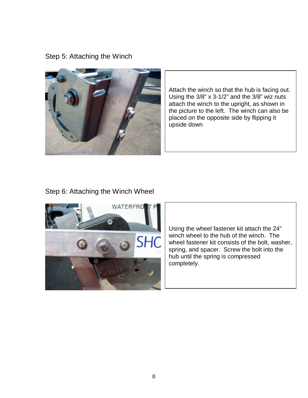Step 5: Attaching the Winch



Attach the winch so that the hub is facing out. Using the  $3/8$ " x  $3-1/2$ " and the  $3/8$ " wiz nuts attach the winch to the upright, as shown in the picture to the left. The winch can also be placed on the opposite side by flipping it upside down

## Step 6: Attaching the Winch Wheel



Using the wheel fastener kit attach the 24" winch wheel to the hub of the winch. The wheel fastener kit consists of the bolt, washer, spring, and spacer. Screw the bolt into the hub until the spring is compressed completely.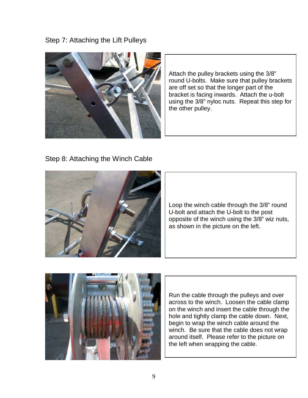Step 7: Attaching the Lift Pulleys



Attach the pulley brackets using the 3/8" round U-bolts. Make sure that pulley brackets are off set so that the longer part of the bracket is facing inwards. Attach the u-bolt using the 3/8" nyloc nuts. Repeat this step for the other pulley.

Step 8: Attaching the Winch Cable



Loop the winch cable through the 3/8" round U-bolt and attach the U-bolt to the post opposite of the winch using the 3/8" wiz nuts, as shown in the picture on the left.



Run the cable through the pulleys and over across to the winch. Loosen the cable clamp on the winch and insert the cable through the hole and tightly clamp the cable down. Next, begin to wrap the winch cable around the winch. Be sure that the cable does not wrap around itself. Please refer to the picture on the left when wrapping the cable.